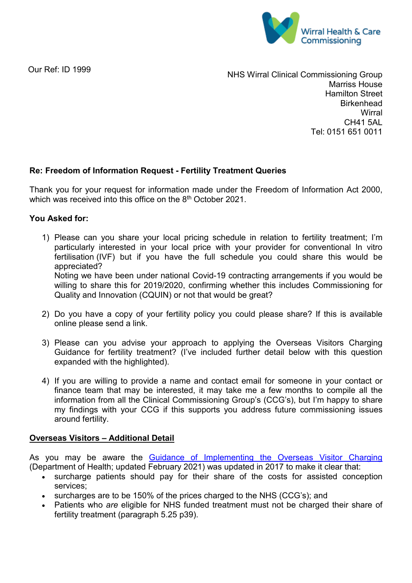

Our Ref: ID 1999

NHS Wirral Clinical Commissioning Group Marriss House Hamilton Street **Birkenhead Wirral** CH41 5AL Tel: 0151 651 0011

## **Re: Freedom of Information Request - Fertility Treatment Queries**

Thank you for your request for information made under the Freedom of Information Act 2000, which was received into this office on the 8<sup>th</sup> October 2021.

### **You Asked for:**

- 1) Please can you share your local pricing schedule in relation to fertility treatment; I'm particularly interested in your local price with your provider for conventional In vitro fertilisation (IVF) but if you have the full schedule you could share this would be appreciated? Noting we have been under national Covid-19 contracting arrangements if you would be willing to share this for 2019/2020, confirming whether this includes Commissioning for Quality and Innovation (CQUIN) or not that would be great?
- 2) Do you have a copy of your fertility policy you could please share? If this is available online please send a link.
- 3) Please can you advise your approach to applying the Overseas Visitors Charging Guidance for fertility treatment? (I've included further detail below with this question expanded with the highlighted).
- 4) If you are willing to provide a name and contact email for someone in your contact or finance team that may be interested, it may take me a few months to compile all the information from all the Clinical Commissioning Group's (CCG's), but I'm happy to share my findings with your CCG if this supports you address future commissioning issues around fertility.

### **Overseas Visitors – Additional Detail**

As you may be aware the [Guidance of Implementing the Overseas Visitor Charging](https://assets.publishing.service.gov.uk/government/uploads/system/uploads/attachment_data/file/977345/Main_Guidance_post_February_2021_v3.pdf) (Department of Health; updated February 2021) was updated in 2017 to make it clear that:

- surcharge patients should pay for their share of the costs for assisted conception services;
- surcharges are to be 150% of the prices charged to the NHS (CCG's); and
- Patients who *are* eligible for NHS funded treatment must not be charged their share of fertility treatment (paragraph 5.25 p39).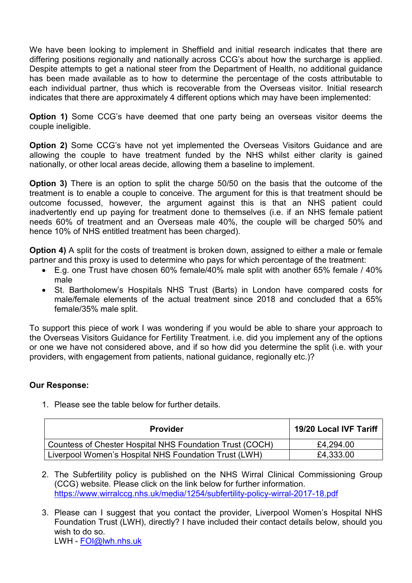We have been looking to implement in Sheffield and initial research indicates that there are differing positions regionally and nationally across CCG's about how the surcharge is applied. Despite attempts to get a national steer from the Department of Health, no additional guidance has been made available as to how to determine the percentage of the costs attributable to each individual partner, thus which is recoverable from the Overseas visitor. Initial research indicates that there are approximately 4 different options which may have been implemented:

**Option 1)** Some CCG's have deemed that one party being an overseas visitor deems the couple ineligible.

**Option 2)** Some CCG's have not yet implemented the Overseas Visitors Guidance and are allowing the couple to have treatment funded by the NHS whilst either clarity is gained nationally, or other local areas decide, allowing them a baseline to implement.

**Option 3)** There is an option to split the charge 50/50 on the basis that the outcome of the treatment is to enable a couple to conceive. The argument for this is that treatment should be outcome focussed, however, the argument against this is that an NHS patient could inadvertently end up paying for treatment done to themselves (i.e. if an NHS female patient needs 60% of treatment and an Overseas male 40%, the couple will be charged 50% and hence 10% of NHS entitled treatment has been charged).

**Option 4)** A split for the costs of treatment is broken down, assigned to either a male or female partner and this proxy is used to determine who pays for which percentage of the treatment:

- E.g. one Trust have chosen 60% female/40% male split with another 65% female / 40% male
- St. Bartholomew's Hospitals NHS Trust (Barts) in London have compared costs for male/female elements of the actual treatment since 2018 and concluded that a 65% female/35% male split.

To support this piece of work I was wondering if you would be able to share your approach to the Overseas Visitors Guidance for Fertility Treatment. i.e. did you implement any of the options or one we have not considered above, and if so how did you determine the split (i.e. with your providers, with engagement from patients, national guidance, regionally etc.)?

# **Our Response:**

1. Please see the table below for further details.

| <b>Provider</b>                                          | 19/20 Local IVF Tariff |
|----------------------------------------------------------|------------------------|
| Countess of Chester Hospital NHS Foundation Trust (COCH) | £4,294.00              |
| Liverpool Women's Hospital NHS Foundation Trust (LWH)    | £4,333.00              |

2. The Subfertility policy is published on the NHS Wirral Clinical Commissioning Group (CCG) website. Please click on the link below for further information. <https://www.wirralccg.nhs.uk/media/1254/subfertility-policy-wirral-2017-18.pdf>

3. Please can I suggest that you contact the provider, Liverpool Women's Hospital NHS Foundation Trust (LWH), directly? I have included their contact details below, should you wish to do so. LWH - [FOI@lwh.nhs.uk](mailto:FOI@lwh.nhs.uk)